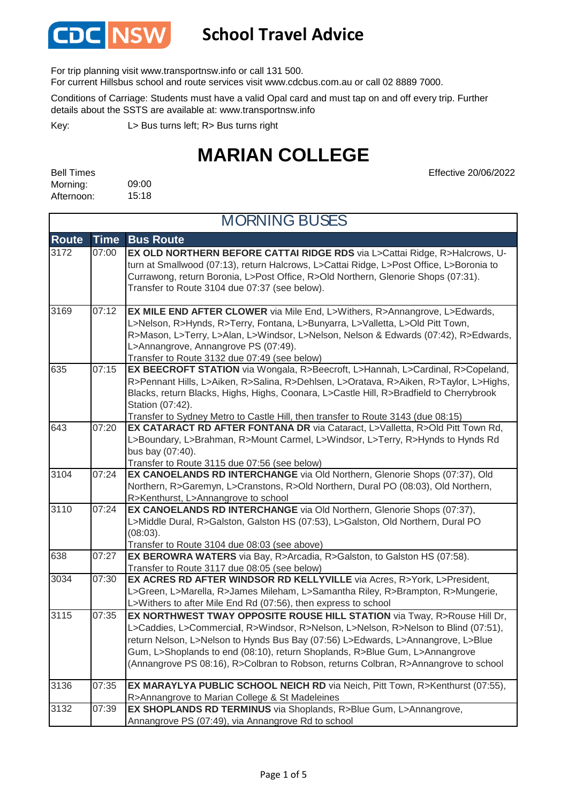

### **School Travel Advice**

For trip planning visit www.transportnsw.info or call 131 500.

For current Hillsbus school and route services visit www.cdcbus.com.au or call 02 8889 7000.

Conditions of Carriage: Students must have a valid Opal card and must tap on and off every trip. Further details about the SSTS are available at: www.transportnsw.info

L> Bus turns left; R> Bus turns right Key:

## **MARIAN COLLEGE**

| <b>Bell Times</b> |       |
|-------------------|-------|
| Morning:          | 09:00 |
| Afternoon:        | 15:18 |

Effective 20/06/2022

| <b>MORNING BUSES</b> |             |                                                                                                                                                                                                                                                                                                                                                                                                                          |
|----------------------|-------------|--------------------------------------------------------------------------------------------------------------------------------------------------------------------------------------------------------------------------------------------------------------------------------------------------------------------------------------------------------------------------------------------------------------------------|
| <b>Route</b>         | <b>Time</b> | <b>Bus Route</b>                                                                                                                                                                                                                                                                                                                                                                                                         |
| 3172                 | 07:00       | EX OLD NORTHERN BEFORE CATTAI RIDGE RDS via L>Cattai Ridge, R>Halcrows, U-<br>turn at Smallwood (07:13), return Halcrows, L>Cattai Ridge, L>Post Office, L>Boronia to<br>Currawong, return Boronia, L>Post Office, R>Old Northern, Glenorie Shops (07:31).<br>Transfer to Route 3104 due 07:37 (see below).                                                                                                              |
| 3169                 | 07:12       | EX MILE END AFTER CLOWER via Mile End, L>Withers, R>Annangrove, L>Edwards,<br>L>Nelson, R>Hynds, R>Terry, Fontana, L>Bunyarra, L>Valletta, L>Old Pitt Town,<br>R>Mason, L>Terry, L>Alan, L>Windsor, L>Nelson, Nelson & Edwards (07:42), R>Edwards,<br>L>Annangrove, Annangrove PS (07:49).<br>Transfer to Route 3132 due 07:49 (see below)                                                                               |
| 635                  | 07:15       | EX BEECROFT STATION via Wongala, R>Beecroft, L>Hannah, L>Cardinal, R>Copeland,<br>R>Pennant Hills, L>Aiken, R>Salina, R>Dehlsen, L>Oratava, R>Aiken, R>Taylor, L>Highs,<br>Blacks, return Blacks, Highs, Highs, Coonara, L>Castle Hill, R>Bradfield to Cherrybrook<br>Station (07:42).<br>Transfer to Sydney Metro to Castle Hill, then transfer to Route 3143 (due 08:15)                                               |
| 643                  | 07:20       | EX CATARACT RD AFTER FONTANA DR via Cataract, L>Valletta, R>Old Pitt Town Rd,<br>L>Boundary, L>Brahman, R>Mount Carmel, L>Windsor, L>Terry, R>Hynds to Hynds Rd<br>bus bay (07:40).<br>Transfer to Route 3115 due 07:56 (see below)                                                                                                                                                                                      |
| 3104                 | 07:24       | EX CANOELANDS RD INTERCHANGE via Old Northern, Glenorie Shops (07:37), Old<br>Northern, R>Garemyn, L>Cranstons, R>Old Northern, Dural PO (08:03), Old Northern,<br>R>Kenthurst, L>Annangrove to school                                                                                                                                                                                                                   |
| 3110                 | 07:24       | EX CANOELANDS RD INTERCHANGE via Old Northern, Glenorie Shops (07:37),<br>L>Middle Dural, R>Galston, Galston HS (07:53), L>Galston, Old Northern, Dural PO<br>(08:03).<br>Transfer to Route 3104 due 08:03 (see above)                                                                                                                                                                                                   |
| 638                  | 07:27       | EX BEROWRA WATERS via Bay, R>Arcadia, R>Galston, to Galston HS (07:58).<br>Transfer to Route 3117 due 08:05 (see below)                                                                                                                                                                                                                                                                                                  |
| 3034                 | 07:30       | EX ACRES RD AFTER WINDSOR RD KELLYVILLE via Acres, R>York, L>President,<br>L>Green, L>Marella, R>James Mileham, L>Samantha Riley, R>Brampton, R>Mungerie,<br>L>Withers to after Mile End Rd (07:56), then express to school                                                                                                                                                                                              |
| 3115                 | 07:35       | EX NORTHWEST TWAY OPPOSITE ROUSE HILL STATION via Tway, R>Rouse Hill Dr,<br>L>Caddies, L>Commercial, R>Windsor, R>Nelson, L>Nelson, R>Nelson to Blind (07:51),<br>return Nelson, L>Nelson to Hynds Bus Bay (07:56) L>Edwards, L>Annangrove, L>Blue<br>Gum, L>Shoplands to end (08:10), return Shoplands, R>Blue Gum, L>Annangrove<br>(Annangrove PS 08:16), R>Colbran to Robson, returns Colbran, R>Annangrove to school |
| 3136                 | 07:35       | EX MARAYLYA PUBLIC SCHOOL NEICH RD via Neich, Pitt Town, R>Kenthurst (07:55),<br>R>Annangrove to Marian College & St Madeleines                                                                                                                                                                                                                                                                                          |
| 3132                 | 07:39       | EX SHOPLANDS RD TERMINUS via Shoplands, R>Blue Gum, L>Annangrove,<br>Annangrove PS (07:49), via Annangrove Rd to school                                                                                                                                                                                                                                                                                                  |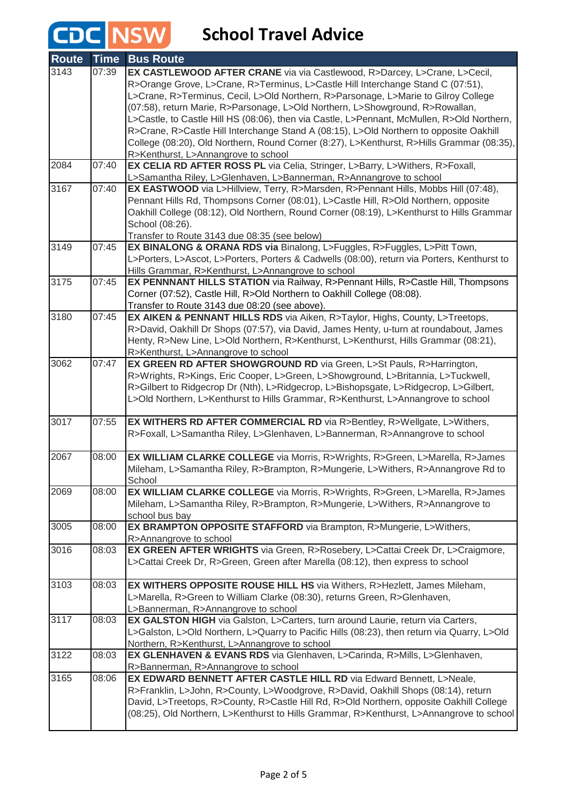## **CDC** NSW School Travel Advice

| Route            | <b>Time</b> | <b>Bus Route</b>                                                                                                                                         |
|------------------|-------------|----------------------------------------------------------------------------------------------------------------------------------------------------------|
| 3143             | 07:39       | EX CASTLEWOOD AFTER CRANE via via Castlewood, R>Darcey, L>Crane, L>Cecil,                                                                                |
|                  |             | R>Orange Grove, L>Crane, R>Terminus, L>Castle Hill Interchange Stand C (07:51),                                                                          |
|                  |             | L>Crane, R>Terminus, Cecil, L>Old Northern, R>Parsonage, L>Marie to Gilroy College                                                                       |
|                  |             | (07:58), return Marie, R>Parsonage, L>Old Northern, L>Showground, R>Rowallan,                                                                            |
|                  |             | L>Castle, to Castle Hill HS (08:06), then via Castle, L>Pennant, McMullen, R>Old Northern,                                                               |
|                  |             | R>Crane, R>Castle Hill Interchange Stand A (08:15), L>Old Northern to opposite Oakhill                                                                   |
|                  |             | College (08:20), Old Northern, Round Corner (8:27), L>Kenthurst, R>Hills Grammar (08:35),                                                                |
|                  |             | R>Kenthurst, L>Annangrove to school                                                                                                                      |
| 2084             | 07:40       | EX CELIA RD AFTER ROSS PL via Celia, Stringer, L>Barry, L>Withers, R>Foxall,                                                                             |
| 3167             | 07:40       | L>Samantha Riley, L>Glenhaven, L>Bannerman, R>Annangrove to school<br>EX EASTWOOD via L>Hillview, Terry, R>Marsden, R>Pennant Hills, Mobbs Hill (07:48), |
|                  |             | Pennant Hills Rd, Thompsons Corner (08:01), L>Castle Hill, R>Old Northern, opposite                                                                      |
|                  |             | Oakhill College (08:12), Old Northern, Round Corner (08:19), L>Kenthurst to Hills Grammar                                                                |
|                  |             | School (08:26).                                                                                                                                          |
|                  |             | Transfer to Route 3143 due 08:35 (see below)                                                                                                             |
| 3149             | 07:45       | EX BINALONG & ORANA RDS via Binalong, L>Fuggles, R>Fuggles, L>Pitt Town,                                                                                 |
|                  |             | L>Porters, L>Ascot, L>Porters, Porters & Cadwells (08:00), return via Porters, Kenthurst to                                                              |
|                  |             | Hills Grammar, R>Kenthurst, L>Annangrove to school                                                                                                       |
| 3175             | 07:45       | EX PENNNANT HILLS STATION via Railway, R>Pennant Hills, R>Castle Hill, Thompsons                                                                         |
|                  |             | Corner (07:52), Castle Hill, R>Old Northern to Oakhill College (08:08).                                                                                  |
|                  |             | Transfer to Route 3143 due 08:20 (see above).                                                                                                            |
| 3180             | 07:45       | EX AIKEN & PENNANT HILLS RDS via Aiken, R>Taylor, Highs, County, L>Treetops,                                                                             |
|                  |             | R>David, Oakhill Dr Shops (07:57), via David, James Henty, u-turn at roundabout, James                                                                   |
|                  |             | Henty, R>New Line, L>Old Northern, R>Kenthurst, L>Kenthurst, Hills Grammar (08:21),                                                                      |
|                  |             | R>Kenthurst, L>Annangrove to school                                                                                                                      |
| 3062             | 07:47       | EX GREEN RD AFTER SHOWGROUND RD via Green, L>St Pauls, R>Harrington,                                                                                     |
|                  |             | R>Wrights, R>Kings, Eric Cooper, L>Green, L>Showground, L>Britannia, L>Tuckwell,                                                                         |
|                  |             | R>Gilbert to Ridgecrop Dr (Nth), L>Ridgecrop, L>Bishopsgate, L>Ridgecrop, L>Gilbert,                                                                     |
|                  |             | L>Old Northern, L>Kenthurst to Hills Grammar, R>Kenthurst, L>Annangrove to school                                                                        |
| 3017             | 07:55       | EX WITHERS RD AFTER COMMERCIAL RD via R>Bentley, R>Wellgate, L>Withers,                                                                                  |
|                  |             | R>Foxall, L>Samantha Riley, L>Glenhaven, L>Bannerman, R>Annangrove to school                                                                             |
|                  |             |                                                                                                                                                          |
| 2067             | 08:00       | EX WILLIAM CLARKE COLLEGE via Morris, R>Wrights, R>Green, L>Marella, R>James                                                                             |
|                  |             | Mileham, L>Samantha Riley, R>Brampton, R>Mungerie, L>Withers, R>Annangrove Rd to                                                                         |
|                  |             | School                                                                                                                                                   |
| 2069             | 08:00       | EX WILLIAM CLARKE COLLEGE via Morris, R>Wrights, R>Green, L>Marella, R>James                                                                             |
|                  |             | Mileham, L>Samantha Riley, R>Brampton, R>Mungerie, L>Withers, R>Annangrove to                                                                            |
| 3005             |             | school bus bay                                                                                                                                           |
|                  | 08:00       | EX BRAMPTON OPPOSITE STAFFORD via Brampton, R>Mungerie, L>Withers,                                                                                       |
| 3016             | 08:03       | R>Annangrove to school<br>EX GREEN AFTER WRIGHTS via Green, R>Rosebery, L>Cattai Creek Dr, L>Craigmore,                                                  |
|                  |             | L>Cattai Creek Dr, R>Green, Green after Marella (08:12), then express to school                                                                          |
|                  |             |                                                                                                                                                          |
| 3103             | 08:03       | <b>EX WITHERS OPPOSITE ROUSE HILL HS via Withers, R&gt;Hezlett, James Mileham,</b>                                                                       |
|                  |             | L>Marella, R>Green to William Clarke (08:30), returns Green, R>Glenhaven,                                                                                |
|                  |             | L>Bannerman, R>Annangrove to school                                                                                                                      |
| 3117             | 08:03       | EX GALSTON HIGH via Galston, L>Carters, turn around Laurie, return via Carters,                                                                          |
|                  |             | L>Galston, L>Old Northern, L>Quarry to Pacific Hills (08:23), then return via Quarry, L>Old                                                              |
|                  |             | Northern, R>Kenthurst, L>Annangrove to school                                                                                                            |
| 3122             | 08:03       | EX GLENHAVEN & EVANS RDS via Glenhaven, L>Carinda, R>Mills, L>Glenhaven,                                                                                 |
|                  |             | R>Bannerman, R>Annangrove to school                                                                                                                      |
| $\frac{1}{3165}$ | 08:06       | EX EDWARD BENNETT AFTER CASTLE HILL RD via Edward Bennett, L>Neale,                                                                                      |
|                  |             | R>Franklin, L>John, R>County, L>Woodgrove, R>David, Oakhill Shops (08:14), return                                                                        |
|                  |             | David, L>Treetops, R>County, R>Castle Hill Rd, R>Old Northern, opposite Oakhill College                                                                  |
|                  |             | (08:25), Old Northern, L>Kenthurst to Hills Grammar, R>Kenthurst, L>Annangrove to school                                                                 |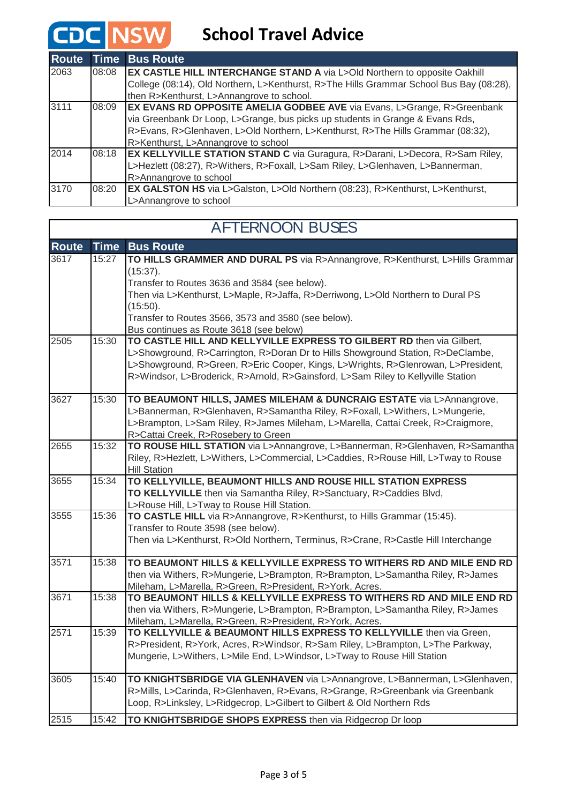### **School Travel Advice**

**CDC NSW** 

| <b>Route</b> | <b>Time</b> | <b>Bus Route</b>                                                                        |
|--------------|-------------|-----------------------------------------------------------------------------------------|
| 2063         | 08:08       | <b>EX CASTLE HILL INTERCHANGE STAND A via L&gt;Old Northern to opposite Oakhill</b>     |
|              |             | College (08:14), Old Northern, L>Kenthurst, R>The Hills Grammar School Bus Bay (08:28), |
|              |             | then R>Kenthurst, L>Annangrove to school.                                               |
| 3111         | 08:09       | <b>EX EVANS RD OPPOSITE AMELIA GODBEE AVE via Evans, L&gt;Grange, R&gt;Greenbank</b>    |
|              |             | via Greenbank Dr Loop, L>Grange, bus picks up students in Grange & Evans Rds,           |
|              |             | R>Evans, R>Glenhaven, L>Old Northern, L>Kenthurst, R>The Hills Grammar (08:32),         |
|              |             | R>Kenthurst, L>Annangrove to school                                                     |
| 2014         | 08:18       | <b>EX KELLYVILLE STATION STAND C</b> via Guragura, R>Darani, L>Decora, R>Sam Riley,     |
|              |             | L>Hezlett (08:27), R>Withers, R>Foxall, L>Sam Riley, L>Glenhaven, L>Bannerman,          |
|              |             | R>Annangrove to school                                                                  |
| 3170         | 08:20       | <b>EX GALSTON HS</b> via L>Galston, L>Old Northern (08:23), R>Kenthurst, L>Kenthurst,   |
|              |             | L>Annangrove to school                                                                  |

### **Route Time Bus Route** 3617 15:27 **TO HILLS GRAMMER AND DURAL PS** via R>Annangrove, R>Kenthurst, L>Hills Grammar (15:37). Transfer to Routes 3636 and 3584 (see below). Then via L>Kenthurst, L>Maple, R>Jaffa, R>Derriwong, L>Old Northern to Dural PS (15:50). Transfer to Routes 3566, 3573 and 3580 (see below). Bus continues as Route 3618 (see below) 2505 15:30 **TO CASTLE HILL AND KELLYVILLE EXPRESS TO GILBERT RD** then via Gilbert, L>Showground, R>Carrington, R>Doran Dr to Hills Showground Station, R>DeClambe, L>Showground, R>Green, R>Eric Cooper, Kings, L>Wrights, R>Glenrowan, L>President, R>Windsor, L>Broderick, R>Arnold, R>Gainsford, L>Sam Riley to Kellyville Station 3627 15:30 **TO BEAUMONT HILLS, JAMES MILEHAM & DUNCRAIG ESTATE** via L>Annangrove, L>Bannerman, R>Glenhaven, R>Samantha Riley, R>Foxall, L>Withers, L>Mungerie, L>Brampton, L>Sam Riley, R>James Mileham, L>Marella, Cattai Creek, R>Craigmore, R>Cattai Creek, R>Rosebery to Green 2655 15:32 **TO ROUSE HILL STATION** via L>Annangrove, L>Bannerman, R>Glenhaven, R>Samantha Riley, R>Hezlett, L>Withers, L>Commercial, L>Caddies, R>Rouse Hill, L>Tway to Rouse Hill Station 3655 15:34 **TO KELLYVILLE, BEAUMONT HILLS AND ROUSE HILL STATION EXPRESS TO KELLYVILLE** then via Samantha Riley, R>Sanctuary, R>Caddies Blvd, L>Rouse Hill, L>Tway to Rouse Hill Station. 3555 15:36 **TO CASTLE HILL** via R>Annangrove, R>Kenthurst, to Hills Grammar (15:45). Transfer to Route 3598 (see below). Then via L>Kenthurst, R>Old Northern, Terminus, R>Crane, R>Castle Hill Interchange 3571 15:38 **TO BEAUMONT HILLS & KELLYVILLE EXPRESS TO WITHERS RD AND MILE END RD**  then via Withers, R>Mungerie, L>Brampton, R>Brampton, L>Samantha Riley, R>James Mileham, L>Marella, R>Green, R>President, R>York, Acres. 3671 15:38 **TO BEAUMONT HILLS & KELLYVILLE EXPRESS TO WITHERS RD AND MILE END RD**  then via Withers, R>Mungerie, L>Brampton, R>Brampton, L>Samantha Riley, R>James Mileham, L>Marella, R>Green, R>President, R>York, Acres. 2571 15:39 **TO KELLYVILLE & BEAUMONT HILLS EXPRESS TO KELLYVILLE** then via Green, R>President, R>York, Acres, R>Windsor, R>Sam Riley, L>Brampton, L>The Parkway, Mungerie, L>Withers, L>Mile End, L>Windsor, L>Tway to Rouse Hill Station 3605 15:40 **TO KNIGHTSBRIDGE VIA GLENHAVEN** via L>Annangrove, L>Bannerman, L>Glenhaven, R>Mills, L>Carinda, R>Glenhaven, R>Evans, R>Grange, R>Greenbank via Greenbank Loop, R>Linksley, L>Ridgecrop, L>Gilbert to Gilbert & Old Northern Rds 2515 15:42 **TO KNIGHTSBRIDGE SHOPS EXPRESS** then via Ridgecrop Dr loop AFTERNOON BUSES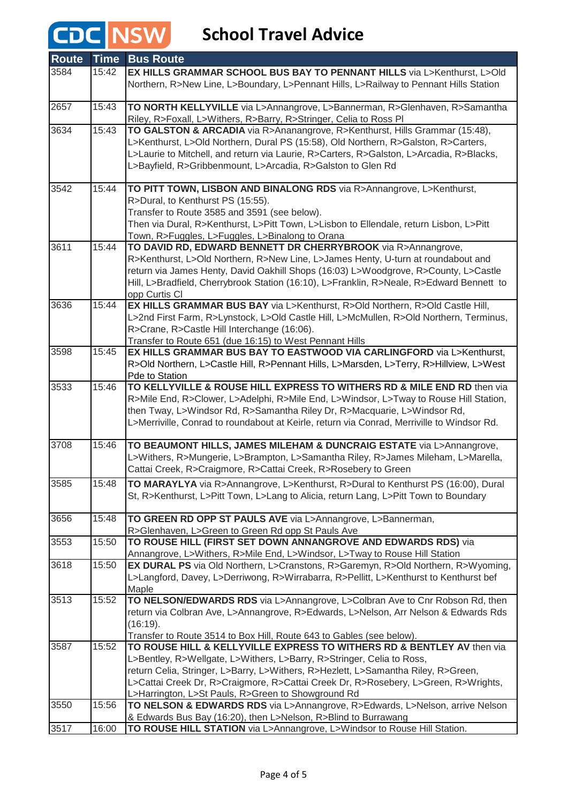## **CDC** NSW School Travel Advice

| <b>Route</b> | <b>Time</b> | <b>Bus Route</b>                                                                                                                                                        |
|--------------|-------------|-------------------------------------------------------------------------------------------------------------------------------------------------------------------------|
| 3584         | 15:42       | EX HILLS GRAMMAR SCHOOL BUS BAY TO PENNANT HILLS via L>Kenthurst, L>Old                                                                                                 |
|              |             | Northern, R>New Line, L>Boundary, L>Pennant Hills, L>Railway to Pennant Hills Station                                                                                   |
|              |             |                                                                                                                                                                         |
| 2657         | 15:43       | TO NORTH KELLYVILLE via L>Annangrove, L>Bannerman, R>Glenhaven, R>Samantha<br>Riley, R>Foxall, L>Withers, R>Barry, R>Stringer, Celia to Ross Pl                         |
| 3634         | 15:43       | TO GALSTON & ARCADIA via R>Ananangrove, R>Kenthurst, Hills Grammar (15:48),                                                                                             |
|              |             | L>Kenthurst, L>Old Northern, Dural PS (15:58), Old Northern, R>Galston, R>Carters,                                                                                      |
|              |             | L>Laurie to Mitchell, and return via Laurie, R>Carters, R>Galston, L>Arcadia, R>Blacks,                                                                                 |
|              |             | L>Bayfield, R>Gribbenmount, L>Arcadia, R>Galston to Glen Rd                                                                                                             |
|              |             |                                                                                                                                                                         |
| 3542         | 15:44       | TO PITT TOWN, LISBON AND BINALONG RDS via R>Annangrove, L>Kenthurst,                                                                                                    |
|              |             | R>Dural, to Kenthurst PS (15:55).                                                                                                                                       |
|              |             | Transfer to Route 3585 and 3591 (see below).                                                                                                                            |
|              |             | Then via Dural, R>Kenthurst, L>Pitt Town, L>Lisbon to Ellendale, return Lisbon, L>Pitt                                                                                  |
|              |             | Town, R>Fuggles, L>Fuggles, L>Binalong to Orana                                                                                                                         |
| 3611         | 15:44       | TO DAVID RD, EDWARD BENNETT DR CHERRYBROOK via R>Annangrove,                                                                                                            |
|              |             | R>Kenthurst, L>Old Northern, R>New Line, L>James Henty, U-turn at roundabout and                                                                                        |
|              |             | return via James Henty, David Oakhill Shops (16:03) L>Woodgrove, R>County, L>Castle                                                                                     |
|              |             | Hill, L>Bradfield, Cherrybrook Station (16:10), L>Franklin, R>Neale, R>Edward Bennett to                                                                                |
|              |             | opp Curtis CI                                                                                                                                                           |
| 3636         | 15:44       | EX HILLS GRAMMAR BUS BAY via L>Kenthurst, R>Old Northern, R>Old Castle Hill,                                                                                            |
|              |             | L>2nd First Farm, R>Lynstock, L>Old Castle Hill, L>McMullen, R>Old Northern, Terminus,                                                                                  |
|              |             | R>Crane, R>Castle Hill Interchange (16:06).                                                                                                                             |
|              |             | Transfer to Route 651 (due 16:15) to West Pennant Hills                                                                                                                 |
| 3598         | 15:45       | EX HILLS GRAMMAR BUS BAY TO EASTWOOD VIA CARLINGFORD via L>Kenthurst,                                                                                                   |
|              |             | R>Old Northern, L>Castle Hill, R>Pennant Hills, L>Marsden, L>Terry, R>Hillview, L>West                                                                                  |
|              |             | Pde to Station                                                                                                                                                          |
| 3533         | 15:46       | TO KELLYVILLE & ROUSE HILL EXPRESS TO WITHERS RD & MILE END RD then via                                                                                                 |
|              |             | R>Mile End, R>Clower, L>Adelphi, R>Mile End, L>Windsor, L>Tway to Rouse Hill Station,                                                                                   |
|              |             | then Tway, L>Windsor Rd, R>Samantha Riley Dr, R>Macquarie, L>Windsor Rd,                                                                                                |
|              |             | L>Merriville, Conrad to roundabout at Keirle, return via Conrad, Merriville to Windsor Rd.                                                                              |
|              |             |                                                                                                                                                                         |
| 3708         | 15:46       | TO BEAUMONT HILLS, JAMES MILEHAM & DUNCRAIG ESTATE via L>Annangrove,                                                                                                    |
|              |             | L>Withers, R>Mungerie, L>Brampton, L>Samantha Riley, R>James Mileham, L>Marella,                                                                                        |
|              |             | Cattai Creek, R>Craigmore, R>Cattai Creek, R>Rosebery to Green                                                                                                          |
| 3585         | 15:48       | TO MARAYLYA via R>Annangrove, L>Kenthurst, R>Dural to Kenthurst PS (16:00), Dural                                                                                       |
|              |             | St, R>Kenthurst, L>Pitt Town, L>Lang to Alicia, return Lang, L>Pitt Town to Boundary                                                                                    |
|              |             |                                                                                                                                                                         |
| 3656         | 15:48       | TO GREEN RD OPP ST PAULS AVE via L>Annangrove, L>Bannerman,                                                                                                             |
|              |             | R>Glenhaven, L>Green to Green Rd opp St Pauls Ave                                                                                                                       |
| 3553         | 15:50       | TO ROUSE HILL (FIRST SET DOWN ANNANGROVE AND EDWARDS RDS) via                                                                                                           |
|              |             | Annangrove, L>Withers, R>Mile End, L>Windsor, L>Tway to Rouse Hill Station                                                                                              |
| 3618         | 15:50       | EX DURAL PS via Old Northern, L>Cranstons, R>Garemyn, R>Old Northern, R>Wyoming,                                                                                        |
|              |             | L>Langford, Davey, L>Derriwong, R>Wirrabarra, R>Pellitt, L>Kenthurst to Kenthurst bef                                                                                   |
|              |             | Maple                                                                                                                                                                   |
| 3513         | 15:52       | TO NELSON/EDWARDS RDS via L>Annangrove, L>Colbran Ave to Cnr Robson Rd, then                                                                                            |
|              |             | return via Colbran Ave, L>Annangrove, R>Edwards, L>Nelson, Arr Nelson & Edwards Rds                                                                                     |
|              |             | (16:19).                                                                                                                                                                |
| 3587         | 15:52       | Transfer to Route 3514 to Box Hill, Route 643 to Gables (see below).<br>TO ROUSE HILL & KELLYVILLE EXPRESS TO WITHERS RD & BENTLEY AV then via                          |
|              |             |                                                                                                                                                                         |
|              |             | L>Bentley, R>Wellgate, L>Withers, L>Barry, R>Stringer, Celia to Ross,                                                                                                   |
|              |             | return Celia, Stringer, L>Barry, L>Withers, R>Hezlett, L>Samantha Riley, R>Green,<br>L>Cattai Creek Dr, R>Craigmore, R>Cattai Creek Dr, R>Rosebery, L>Green, R>Wrights, |
|              |             | L>Harrington, L>St Pauls, R>Green to Showground Rd                                                                                                                      |
| 3550         | 15:56       | TO NELSON & EDWARDS RDS via L>Annangrove, R>Edwards, L>Nelson, arrive Nelson                                                                                            |
|              |             | & Edwards Bus Bay (16:20), then L>Nelson, R>Blind to Burrawang                                                                                                          |
| 3517         | 16:00       | TO ROUSE HILL STATION via L>Annangrove, L>Windsor to Rouse Hill Station.                                                                                                |